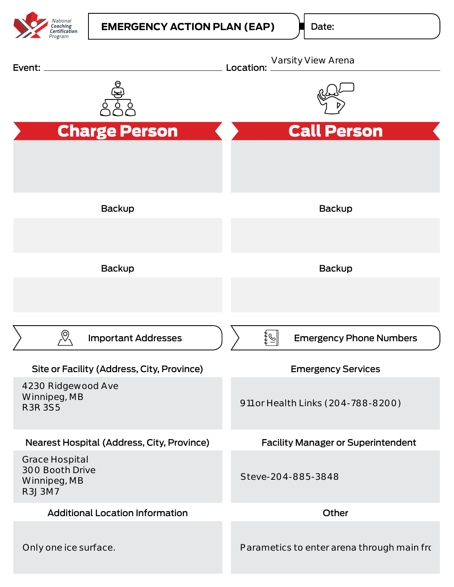

Date:

| Event:                                                                    | Varsity View Arena<br>Location:                   |
|---------------------------------------------------------------------------|---------------------------------------------------|
|                                                                           |                                                   |
| <b>Charge Person</b>                                                      | <b>Call Person</b>                                |
|                                                                           |                                                   |
| Backup                                                                    | Backup                                            |
|                                                                           |                                                   |
| Backup                                                                    | Backup                                            |
|                                                                           |                                                   |
| <b>Important Addresses</b>                                                | $ \mathscr{Q} $<br><b>Emergency Phone Numbers</b> |
| Site or Facility (Address, City, Province)                                | <b>Emergency Services</b>                         |
| 4230 Ridgewood Ave<br>Winnipeg, MB<br><b>R3R 3S5</b>                      | 911 or Health Links (204-788-8200)                |
| Nearest Hospital (Address, City, Province)                                | <b>Facility Manager or Superintendent</b>         |
| <b>Grace Hospital</b><br>300 Booth Drive<br>Winnipeg, MB<br><b>R3J3M7</b> | Steve-204-885-3848                                |
| <b>Additional Location Information</b>                                    | Other                                             |
| Only one ice surface.                                                     | Parametics to enter arena through main fro        |